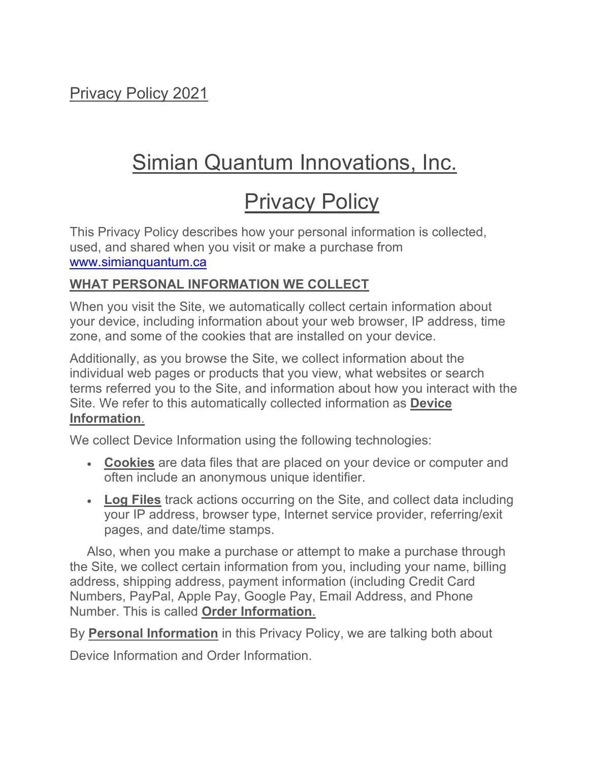Privacy Policy 2021

# Simian Quantum Innovations, Inc.

## **Privacy Policy**

This Privacy Policy describes how your personal information is collected, used, and shared when you visit or make a purchase from www.simianquantum.ca

#### **WHAT PERSONAL INFORMATION WE COLLECT**

When you visit the Site, we automatically collect certain information about your device, including information about your web browser, IP address, time zone, and some of the cookies that are installed on your device.

Additionally, as you browse the Site, we collect information about the individual web pages or products that you view, what websites or search terms referred you to the Site, and information about how you interact with the Site. We refer to this automatically collected information as **Device Information**.

We collect Device Information using the following technologies:

- **Cookies** are data files that are placed on your device or computer and often include an anonymous unique identifier.
- **Log Files** track actions occurring on the Site, and collect data including your IP address, browser type, Internet service provider, referring/exit pages, and date/time stamps.

Also, when you make a purchase or attempt to make a purchase through the Site, we collect certain information from you, including your name, billing address, shipping address, payment information (including Credit Card Numbers, PayPal, Apple Pay, Google Pay, Email Address, and Phone Number. This is called **Order Information**.

By **Personal Information** in this Privacy Policy, we are talking both about

Device Information and Order Information.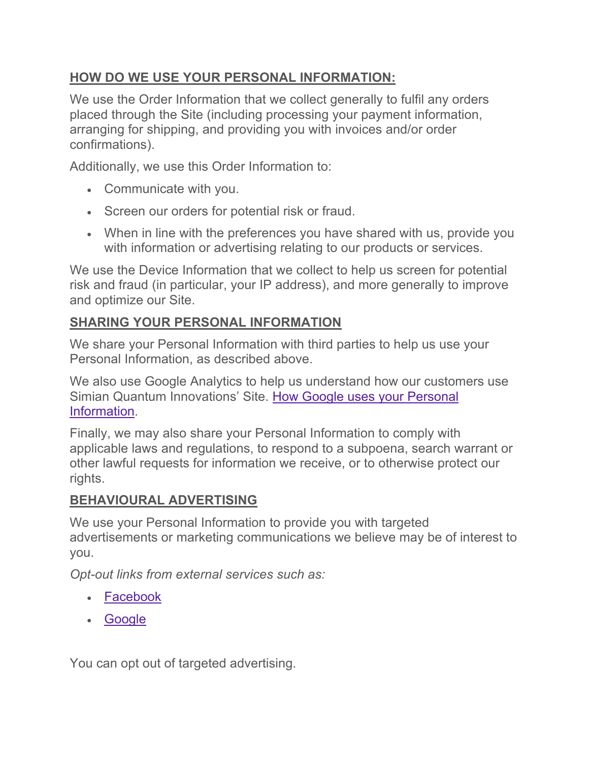## **HOW DO WE USE YOUR PERSONAL INFORMATION:**

We use the Order Information that we collect generally to fulfil any orders placed through the Site (including processing your payment information, arranging for shipping, and providing you with invoices and/or order confirmations).

Additionally, we use this Order Information to:

- Communicate with you.
- Screen our orders for potential risk or fraud.
- When in line with the preferences you have shared with us, provide you with information or advertising relating to our products or services.

We use the Device Information that we collect to help us screen for potential risk and fraud (in particular, your IP address), and more generally to improve and optimize our Site.

#### **SHARING YOUR PERSONAL INFORMATION**

We share your Personal Information with third parties to help us use your Personal Information, as described above.

We also use Google Analytics to help us understand how our customers use Simian Quantum Innovations' Site. How Google uses your Personal Information.

Finally, we may also share your Personal Information to comply with applicable laws and regulations, to respond to a subpoena, search warrant or other lawful requests for information we receive, or to otherwise protect our rights.

#### **BEHAVIOURAL ADVERTISING**

We use your Personal Information to provide you with targeted advertisements or marketing communications we believe may be of interest to you.

*Opt-out links from external services such as:*

- Facebook
- Google

You can opt out of targeted advertising.